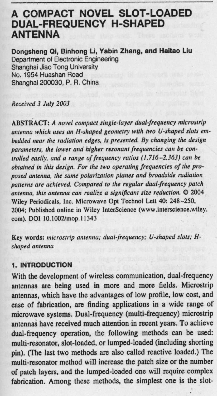# **A COMPACT NOVEL SLOT**-**LOADED DUAL**-**FREQUENCY H-SHAPED ANTENNA**

**Dongsheng 01, Binhong Li** , **Yabin Zhang** , **and Haitao Liu** Department of Electronic Engineering Shanghai Jiao Tong University No. 1954 Huashan Road Shanghai 200030, P. R. China

**Received** 3 *July 2003*

ABSTRACT: A *novel compact single-layer dual frequency microstrip* antenna which **uses an** H-shaped *geometry with two* U-shaped *slots embedded* near *the radiation edges, is presented. By* **changing** *the design parameters, the lower and* **higher** *resonant frequencies can be controlled easily,* and a *range of frequency* ratios *(1.716-2.363)* can be *obtained* **in** *this design. For the two operating frequencies of the proposed* **antenna,** *the same polarization* planes *and broadside radiation patterns are achieved. Compared to the regular dualfrequency patch* **antenna**, *this* **antenna can** *realize* a significant **size** *reduction.* **C 2004** Wiley Periodicals, **Inc. Microwave Opt Technol** Lett 40: 248-250, 2004 **; Published online** in Wiley **InterScience** (**www.interscience** .wiley. **corn**). DOI 10. 1002/mop. 11343

**Key words**: *microstrip antenna; dualfrequency; U-shaped slots; Hshaped* **antenna**

## **1. INTRODUCTION**

**With the development of wireless communication** , **dual-frequency** antennas are being used in more and more fields. Microstrip **antennas**, **which have the advantages of low profile**, **low cost, and ease of fabrication**, **are finding applications in a wide range of microwave systems**. **Dual-frequency** (**multi-frequency** ) **microstrip antennas have received much attention in recent years. To achieve** dual-frequency operation, the following methods can be used: **multi-resonator**, **slot-loaded**, **or lumped**-**loaded** (**including shorting pin). (The last two methods are also called reactive loaded.) The multi-resonator method will increase the patch size or the number of patch layers, and the lumped** -**loaded one will require complex** fabrication. Among these methods, the simplest one is the slot-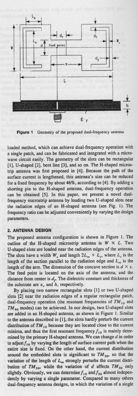

**Figure 1** Geometry of the proposed dual-frequency antenna

loaded method, which can achieve dual-frequency operation with **a single patch**, **and can** be fabricated **and integrated** with a microwave **circuit easily** . The geometry of the slots **can be rectangular** [I], U-shaped [2], **bent line [3], and so on**. The H-shaped micros**trip antenna was first proposed in [4]. Because** the path of the **surface current is lengthened**, **this antenna** '**s size can be** reduced for a fixed frequency by about 46%, **according** to (4]. By adding a **shorting pin** to the **H-shaped antenna**, dual-frequency **operation can be obtained** [5]. In this **paper**, **we present** a novel dualfrequency microstrip **antenna** by loading two U-shaped slots near **the radiation edges of an H-shaped antenna** (see Fig. I). The frequency **ratio can be adjusted conveniently** by varying the design **parameters.**

# **2. ANTENNA DESIGN**

The proposed **antenna configuration is shown** in Figure I. The outline of the H-shaped microstrip antenna is  $W \times L$ . Two U-shaped **slots are loaded near the radiation** edges of the **antenna.** The slots have a width  $W_s$  and length  $2L_m + L_s$ , where  $L_s$  is the length of the section parallel to the radiation edge and  $L_m$  is the length of the arm. The dimension of the concave section is  $d \times s$ . The feed **point is located on** the axis of **the antenna**, and the distance from center is  $d_f$ . The dielectric constant and thickness of the substrate are  $\varepsilon$ , and  $h$ , respectively.

By placing two **narrow rectangular** slots [1] or two U-shaped **slots [2] near the radiation** edges of a **regular rectangular patch,** dual-frequency operation (the resonant frequencies of  $TM_{10}$  and TM<sub>30</sub> modes) can be achieved. In our design, two U-shaped slots **are added in an H**-**shaped antenna**, as shown **in Figure** 1. Similar **to the antenna described** in [1], the slots hardly perturb the **current** distribution of  $TM_{10}$  because they are located close to the current minima, and thus the first resonant frequency  $f_{10}$  is mainly deter**mined by** the primary **H-shaped antenna.** We can change d in order to adjust  $f_{10}$  by varying the length of surface current path when the **entire size is fixed**. **On the other hand**, **the current** distribution around the embedded slots is significant to  $TM_{30}$ , so that the variation of the length of  $L_m$  strongly perturbs the current distribution of  $TM_{30}$ , while the variation of *d* affects  $TM_{30}$  only slightly. Obviously, we can determine  $f_{10}$  and  $f_{30}$  almost independently by varying **a single parameter**. Compared to many others **dual-frequency antenna designs, in** which **the variation of a single**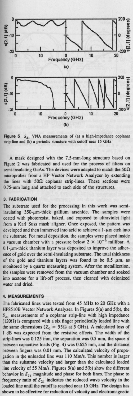

**Figure** 5  $S_{21}$  VNA measurements of (a) a high-impedance coplanar strip-line and (b) a periodic structure with cutoff near 15 GHz

A mask designed with the 7.5-mm-long structure based on Figure 2 was fabricated and used for the process of filters on  $semi$ -insulating GaAs. The devices were adapted to match the  $50\Omega$ microprobes from a HP Vector Network Analyzer by extending the lines with  $50\Omega$  coplanar strip-lines. These sections were 0.75-mm long and attached to each side of the structures.

## **3. FABRICATION**

The substrate used for the processing in this work was semiinsulating  $350$ - $\mu$ m-thick gallium arsenide. The samples were coated with photoresist, baked, and exposed to ultraviolet light from a Karl Suss mask aligner. Once exposed, the pattern was developed and then immersed into acid to achieve a  $1-\mu m$  etch into the substrate. For metal deposition, the samples were placed inside a vacuum chamber with a pressure below  $2 \times 10^{-6}$  millibar. A  $0.1$ - $\mu$ m-thick titanium layer was deposited to improve the adherence of gold over the semi-insulating substrate. The total thickness of the gold and titanium layers was found to be  $0.5 \mu m$ , as monitored by a quartz measuring system. After the metallization, **the samples were removed from the vacuum chamber and soaked** into acetone for a lift-off process, then cleaned with deionized water and dried.

#### **4. MEASUREMENTS**

The fabricated lines were tested from 45 MHz to 20 GHz with a HP8510B Vector Network Analyzer. In Figures 5(a) and 5(b), the  $S_{21}$  measurements of a coplanar strip-line with high impedance  $(120\Omega)$  is compared with a six finger periodically loaded line with the same dimensions ( $Z_0 = 55\Omega$  at 5 GHz). A calculated loss of I dB was expected from the resistive effects. The width of the strip-lines was 0.125 mm, the separation was 0.5 mm, the space d between capacitive loads (Fig. 4) was 0.625 mm, and the distance between fingers was 0.01 mm. The calculated velocity of propagation in the unloaded line was 110 Mm/s. This number is larger than the substrate velocity and larger than the calculated loaded line velocity of 55 Mm/s. Figures 5(a) and 5(b) show the different behavior in  $S_{21}$  magnitude and phase for both lines. The phase to frequency ratio of  $S_{21}$  indicates the reduced wave velocity in the loaded line until the cutoff is reached near 15 GHz. The design has shown to be effective for reduction of velocity and electromagnetic